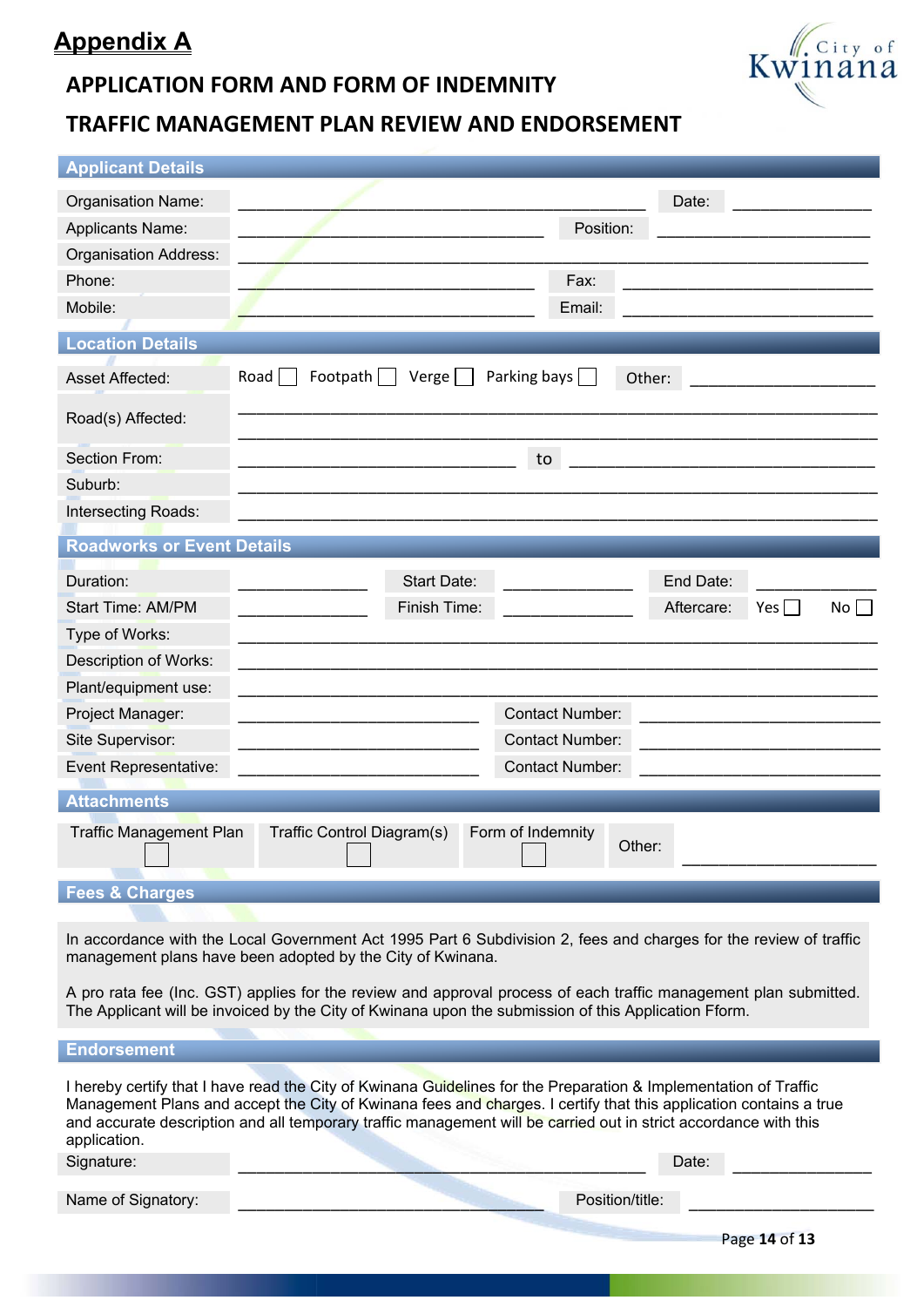# **Appendix A**

### **APPLICATION FORM AND FORM OF INDEMNITY**

## **TRAFFIC MANAGEMENT PLAN REVIEW AND ENDORSEMENT**

| <b>Applicant Details</b>          |                                                                                                                                                                                                                                                                                                                                                                    |
|-----------------------------------|--------------------------------------------------------------------------------------------------------------------------------------------------------------------------------------------------------------------------------------------------------------------------------------------------------------------------------------------------------------------|
| Organisation Name:                | Date:                                                                                                                                                                                                                                                                                                                                                              |
| Applicants Name:                  | Position:                                                                                                                                                                                                                                                                                                                                                          |
| Organisation Address:             |                                                                                                                                                                                                                                                                                                                                                                    |
| Phone:                            | Fax:                                                                                                                                                                                                                                                                                                                                                               |
| Mobile:                           | Email:                                                                                                                                                                                                                                                                                                                                                             |
| <b>Location Details</b>           |                                                                                                                                                                                                                                                                                                                                                                    |
| <b>Asset Affected:</b>            | Footpath<br>Parking bays<br>Road  <br>Verge  <br>Other:                                                                                                                                                                                                                                                                                                            |
| Road(s) Affected:                 |                                                                                                                                                                                                                                                                                                                                                                    |
| Section From:                     | to                                                                                                                                                                                                                                                                                                                                                                 |
| Suburb:                           |                                                                                                                                                                                                                                                                                                                                                                    |
| Intersecting Roads:               |                                                                                                                                                                                                                                                                                                                                                                    |
| <b>Roadworks or Event Details</b> |                                                                                                                                                                                                                                                                                                                                                                    |
| Duration:                         | Start Date:<br>End Date:                                                                                                                                                                                                                                                                                                                                           |
| <b>Start Time: AM/PM</b>          | Finish Time:<br>Aftercare:<br>No<br>Yes                                                                                                                                                                                                                                                                                                                            |
| Type of Works:                    |                                                                                                                                                                                                                                                                                                                                                                    |
| Description of Works:             |                                                                                                                                                                                                                                                                                                                                                                    |
| Plant/equipment use:              |                                                                                                                                                                                                                                                                                                                                                                    |
| Project Manager:                  | <b>Contact Number:</b>                                                                                                                                                                                                                                                                                                                                             |
| Site Supervisor:                  | <b>Contact Number:</b>                                                                                                                                                                                                                                                                                                                                             |
| Event Representative:             | <b>Contact Number:</b>                                                                                                                                                                                                                                                                                                                                             |
| <b>Attachments</b>                |                                                                                                                                                                                                                                                                                                                                                                    |
| <b>Traffic Management Plan</b>    | Form of Indemnity<br>Traffic Control Diagram(s)<br>Other:                                                                                                                                                                                                                                                                                                          |
| <b>Fees &amp; Charges</b>         |                                                                                                                                                                                                                                                                                                                                                                    |
|                                   | In accordance with the Local Government Act 1995 Part 6 Subdivision 2, fees and charges for the review of traffic<br>management plans have been adopted by the City of Kwinana.                                                                                                                                                                                    |
|                                   | A pro rata fee (Inc. GST) applies for the review and approval process of each traffic management plan submitted.<br>The Applicant will be invoiced by the City of Kwinana upon the submission of this Application Fform.                                                                                                                                           |
| <b>Endorsement</b>                |                                                                                                                                                                                                                                                                                                                                                                    |
| application.<br>Signature:        | I hereby certify that I have read the City of Kwinana Guidelines for the Preparation & Implementation of Traffic<br>Management Plans and accept the City of Kwinana fees and charges. I certify that this application contains a true<br>and accurate description and all temporary traffic management will be carried out in strict accordance with this<br>Date: |
|                                   |                                                                                                                                                                                                                                                                                                                                                                    |

Name of Signatory: <br> Position/title:

Page **14** of **13**